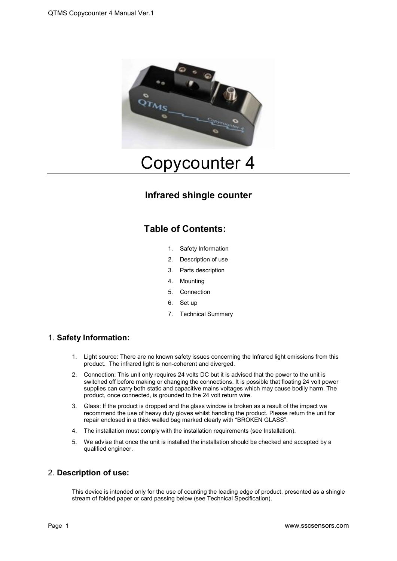

Copycounter 4

# **Infrared shingle counter**

# **Table of Contents:**

- 1. Safety Information
- 2. Description of use
- 3. Parts description
- 4. Mounting
- 5. Connection
- 6. Set up
- 7. Technical Summary

## 1. **Safety Information:**

- 1. Light source: There are no known safety issues concerning the Infrared light emissions from this product. The infrared light is non-coherent and diverged.
- 2. Connection: This unit only requires 24 volts DC but it is advised that the power to the unit is switched off before making or changing the connections. It is possible that floating 24 volt power supplies can carry both static and capacitive mains voltages which may cause bodily harm. The product, once connected, is grounded to the 24 volt return wire.
- 3. Glass: If the product is dropped and the glass window is broken as a result of the impact we recommend the use of heavy duty gloves whilst handling the product. Please return the unit for repair enclosed in a thick walled bag marked clearly with "BROKEN GLASS".
- 4. The installation must comply with the installation requirements (see Installation).
- 5. We advise that once the unit is installed the installation should be checked and accepted by a qualified engineer.

## 2. **Description of use:**

This device is intended only for the use of counting the leading edge of product, presented as a shingle stream of folded paper or card passing below (see Technical Specification).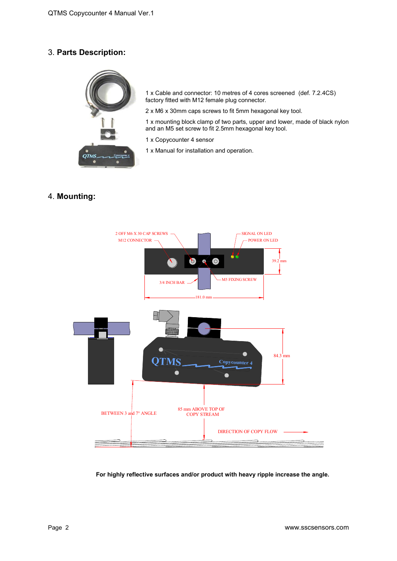## 3. **Parts Description:**



1 x Cable and connector: 10 metres of 4 cores screened (def. 7.2.4CS) factory fitted with M12 female plug connector.

2 x M6 x 30mm caps screws to fit 5mm hexagonal key tool.

1 x mounting block clamp of two parts, upper and lower, made of black nylon and an M5 set screw to fit 2.5mm hexagonal key tool.

- 1 x Copycounter 4 sensor
- 1 x Manual for installation and operation.

## 4. **Mounting:**



**For highly reflective surfaces and/or product with heavy ripple increase the angle.**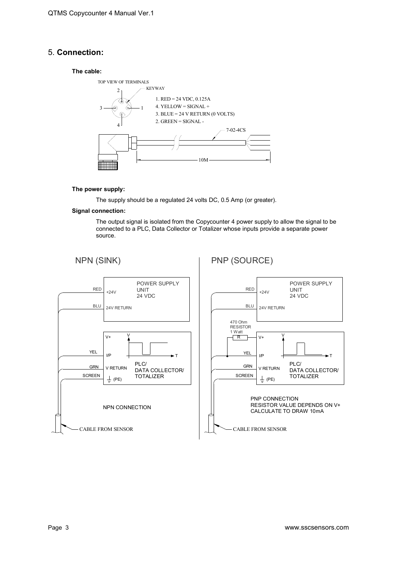# 5. **Connection:**

#### **The cable:**



#### **The power supply:**

The supply should be a regulated 24 volts DC, 0.5 Amp (or greater).

#### **Signal connection:**

The output signal is isolated from the Copycounter 4 power supply to allow the signal to be connected to a PLC, Data Collector or Totalizer whose inputs provide a separate power source.

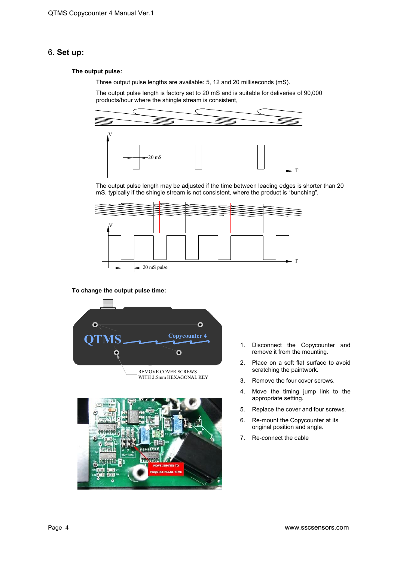## 6. **Set up:**

#### **The output pulse:**

Three output pulse lengths are available: 5, 12 and 20 milliseconds (mS).

The output pulse length is factory set to 20 mS and is suitable for deliveries of 90,000 products/hour where the shingle stream is consistent,



The output pulse length may be adjusted if the time between leading edges is shorter than 20 mS, typically if the shingle stream is not consistent, where the product is "bunching".



#### **To change the output pulse time:**





- 1. Disconnect the Copycounter and remove it from the mounting.
- 2. Place on a soft flat surface to avoid scratching the paintwork.
- 3. Remove the four cover screws.
- 4. Move the timing jump link to the appropriate setting.
- 5. Replace the cover and four screws.
- 6. Re-mount the Copycounter at its original position and angle.
- 7. Re-connect the cable